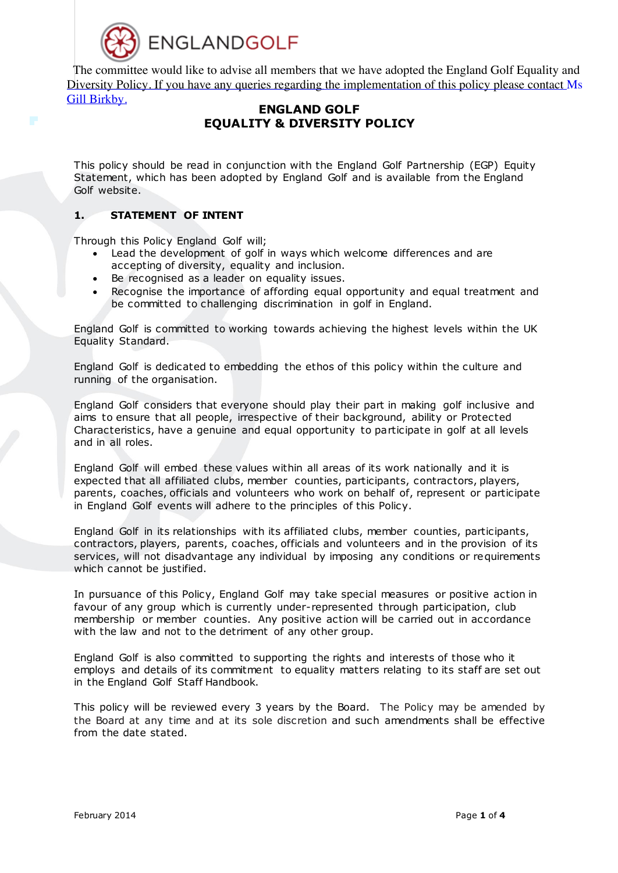

The committee would like to advise all members that we have adopted the England Golf Equality and Diversity Policy. If you have any queries regarding the implementation of this policy please contact Ms Gill Birkby.

# **ENGLAND GOLF EQUALITY & DIVERSITY POLICY**

This policy should be read in conjunction with the England Golf Partnership (EGP) Equity Statement, which has been adopted by England Golf and is available from the England Golf website.

## **1. STATEMENT OF INTENT**

Through this Policy England Golf will;

- Lead the development of golf in ways which welcome differences and are accepting of diversity, equality and inclusion.
- Be recognised as a leader on equality issues.
- Recognise the importance of affording equal opportunity and equal treatment and be committed to challenging discrimination in golf in England.

England Golf is committed to working towards achieving the highest levels within the UK Equality Standard.

England Golf is dedicated to embedding the ethos of this policy within the culture and running of the organisation.

England Golf considers that everyone should play their part in making golf inclusive and aims to ensure that all people, irrespective of their background, ability or Protected Characteristics, have a genuine and equal opportunity to participate in golf at all levels and in all roles.

England Golf will embed these values within all areas of its work nationally and it is expected that all affiliated clubs, member counties, participants, contractors, players, parents, coaches, officials and volunteers who work on behalf of, represent or participate in England Golf events will adhere to the principles of this Policy.

England Golf in its relationships with its affiliated clubs, member counties, participants, contractors, players, parents, coaches, officials and volunteers and in the provision of its services, will not disadvantage any individual by imposing any conditions or requirements which cannot be justified.

In pursuance of this Policy, England Golf may take special measures or positive action in favour of any group which is currently under-represented through participation, club membership or member counties. Any positive action will be carried out in accordance with the law and not to the detriment of any other group.

England Golf is also committed to supporting the rights and interests of those who it employs and details of its commitment to equality matters relating to its staff are set out in the England Golf Staff Handbook.

This policy will be reviewed every 3 years by the Board. The Policy may be amended by the Board at any time and at its sole discretion and such amendments shall be effective from the date stated.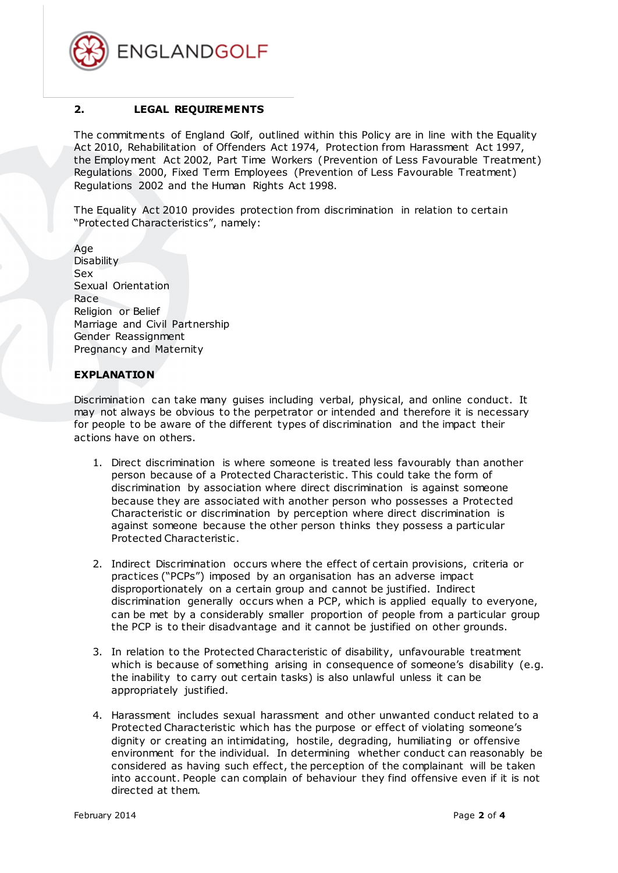

### **2. LEGAL REQUIREMENTS**

The commitments of England Golf, outlined within this Policy are in line with the Equality Act 2010, Rehabilitation of Offenders Act 1974, Protection from Harassment Act 1997, the Employment Act 2002, Part Time Workers (Prevention of Less Favourable Treatment) Regulations 2000, Fixed Term Employees (Prevention of Less Favourable Treatment) Regulations 2002 and the Human Rights Act 1998.

The Equality Act 2010 provides protection from discrimination in relation to certain "Protected Characteristics", namely:

Age **Disability** Sex Sexual Orientation Race Religion or Belief Marriage and Civil Partnership Gender Reassignment Pregnancy and Maternity

#### **EXPLANATION**

Discrimination can take many guises including verbal, physical, and online conduct. It may not always be obvious to the perpetrator or intended and therefore it is necessary for people to be aware of the different types of discrimination and the impact their actions have on others.

- 1. Direct discrimination is where someone is treated less favourably than another person because of a Protected Characteristic . This could take the form of discrimination by association where direct discrimination is against someone because they are associated with another person who possesses a Protected Characteristic or discrimination by perception where direct discrimination is against someone because the other person thinks they possess a particular Protected Characteristic .
- 2. Indirect Discrimination occurs where the effect of certain provisions, criteria or practices ("PCPs") imposed by an organisation has an adverse impact disproportionately on a certain group and cannot be justified. Indirect discrimination generally occurs when a PCP, which is applied equally to everyone, can be met by a considerably smaller proportion of people from a particular group the PCP is to their disadvantage and it cannot be justified on other grounds.
- 3. In relation to the Protected Characteristic of disability, unfavourable treatment which is because of something arising in consequence of someone's disability (e.g. the inability to carry out certain tasks) is also unlawful unless it can be appropriately justified.
- 4. Harassment includes sexual harassment and other unwanted conduct related to a Protected Characteristic which has the purpose or effect of violating someone's dignity or creating an intimidating, hostile, degrading, humiliating or offensive environment for the individual. In determining whether conduct can reasonably be considered as having such effect, the perception of the complainant will be taken into account. People can complain of behaviour they find offensive even if it is not directed at them.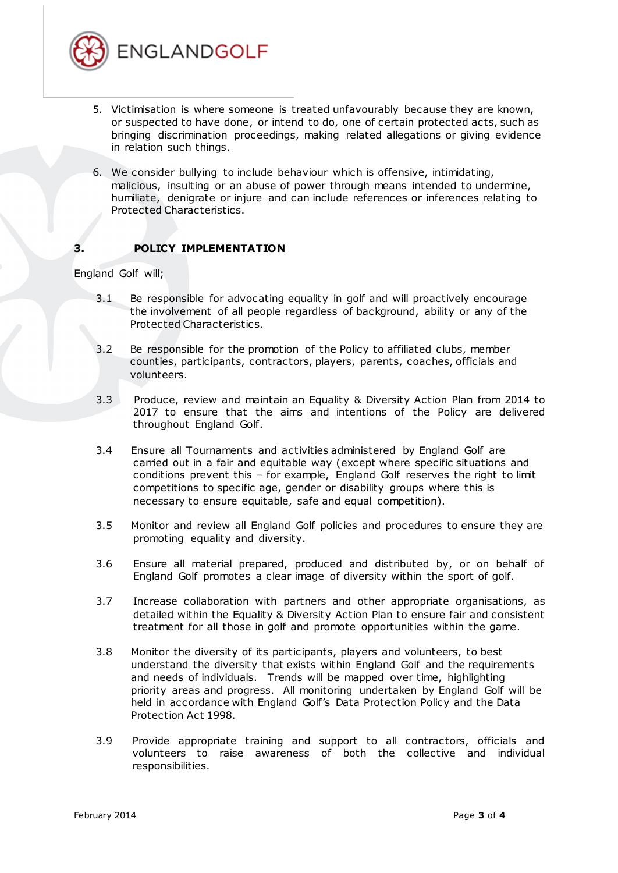

- 5. Victimisation is where someone is treated unfavourably because they are known, or suspected to have done, or intend to do, one of certain protected acts, such as bringing discrimination proceedings, making related allegations or giving evidence in relation such things.
- 6. We consider bullying to include behaviour which is offensive, intimidating, malicious, insulting or an abuse of power through means intended to undermine, humiliate, denigrate or injure and can include references or inferences relating to Protected Characteristics.

## **3. POLICY IMPLEMENTATION**

England Golf will;

- 3.1 Be responsible for advocating equality in golf and will proactively encourage the involvement of all people regardless of background, ability or any of the Protected Characteristics.
- 3.2 Be responsible for the promotion of the Policy to affiliated clubs, member counties, participants, contractors, players, parents, coaches, officials and volunteers.
- 3.3 Produce, review and maintain an Equality & Diversity Action Plan from 2014 to 2017 to ensure that the aims and intentions of the Policy are delivered throughout England Golf.
- 3.4 Ensure all Tournaments and activities administered by England Golf are carried out in a fair and equitable way (except where specific situations and conditions prevent this – for example, England Golf reserves the right to limit competitions to specific age, gender or disability groups where this is necessary to ensure equitable, safe and equal competition).
- 3.5 Monitor and review all England Golf policies and procedures to ensure they are promoting equality and diversity.
- 3.6 Ensure all material prepared, produced and distributed by, or on behalf of England Golf promotes a clear image of diversity within the sport of golf.
- 3.7 Increase collaboration with partners and other appropriate organisations, as detailed within the Equality & Diversity Action Plan to ensure fair and consistent treatment for all those in golf and promote opportunities within the game.
- 3.8 Monitor the diversity of its participants, players and volunteers, to best understand the diversity that exists within England Golf and the requirements and needs of individuals. Trends will be mapped over time, highlighting priority areas and progress. All monitoring undertaken by England Golf will be held in accordance with England Golf's Data Protection Policy and the Data Protection Act 1998.
- 3.9 Provide appropriate training and support to all contractors, officials and volunteers to raise awareness of both the collective and individual responsibilities.